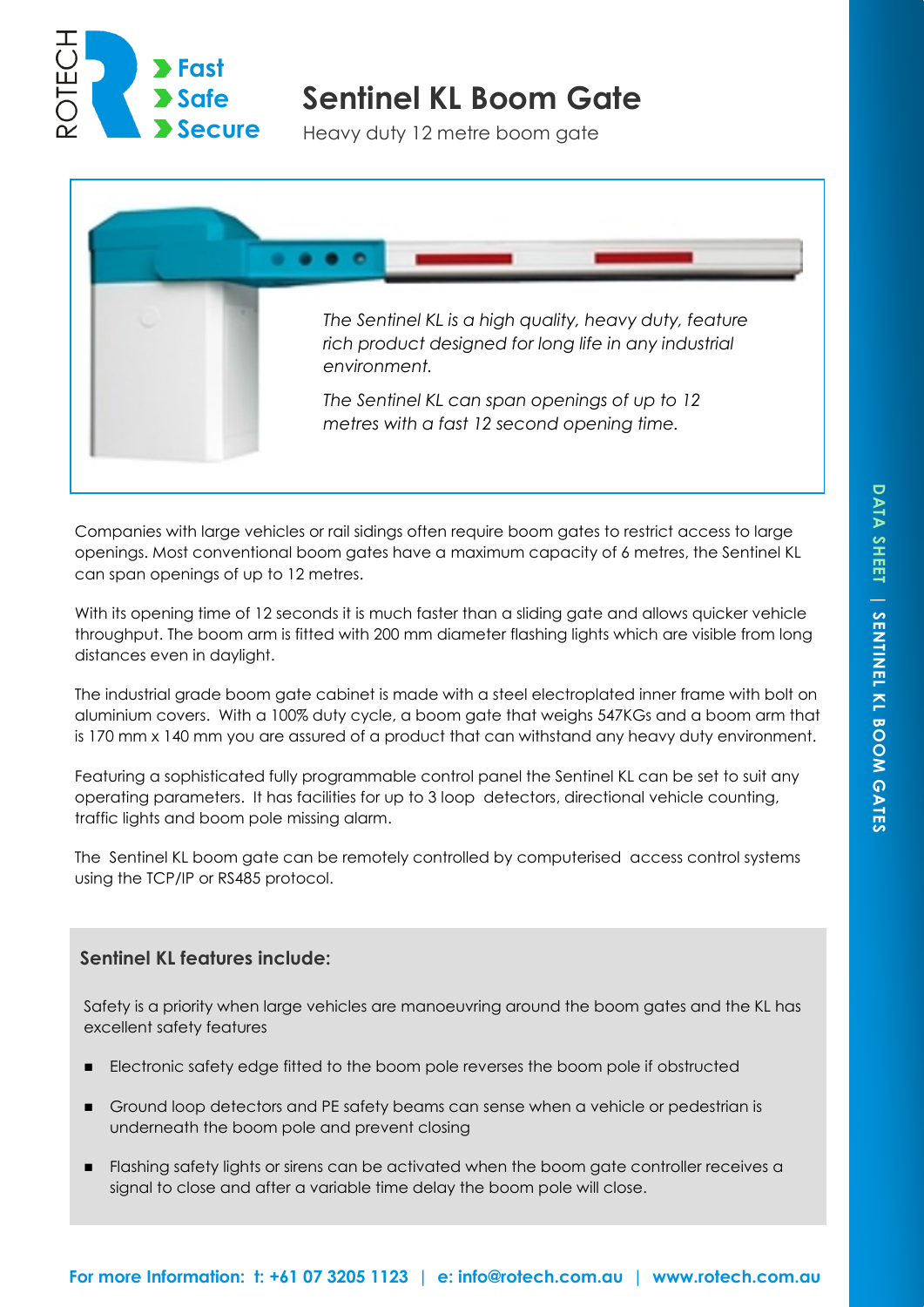

# **Sentinel KL Boom Gate**

Heavy duty 12 metre boom gate



Companies with large vehicles or rail sidings often require boom gates to restrict access to large openings. Most conventional boom gates have a maximum capacity of 6 metres, the Sentinel KL can span openings of up to 12 metres.

With its opening time of 12 seconds it is much faster than a sliding gate and allows quicker vehicle throughput. The boom arm is fitted with 200 mm diameter flashing lights which are visible from long distances even in daylight.

The industrial grade boom gate cabinet is made with a steel electroplated inner frame with bolt on aluminium covers. With a 100% duty cycle, a boom gate that weighs 547KGs and a boom arm that is 170 mm x 140 mm you are assured of a product that can withstand any heavy duty environment.

Featuring a sophisticated fully programmable control panel the Sentinel KL can be set to suit any operating parameters. It has facilities for up to 3 loop detectors, directional vehicle counting, traffic lights and boom pole missing alarm.

The Sentinel KL boom gate can be remotely controlled by computerised access control systems using the TCP/IP or RS485 protocol.

# **Sentinel KL features include:**

Safety is a priority when large vehicles are manoeuvring around the boom gates and the KL has excellent safety features

- Electronic safety edge fitted to the boom pole reverses the boom pole if obstructed
- Ground loop detectors and PE safety beams can sense when a vehicle or pedestrian is underneath the boom pole and prevent closing
- Flashing safety lights or sirens can be activated when the boom gate controller receives a signal to close and after a variable time delay the boom pole will close.